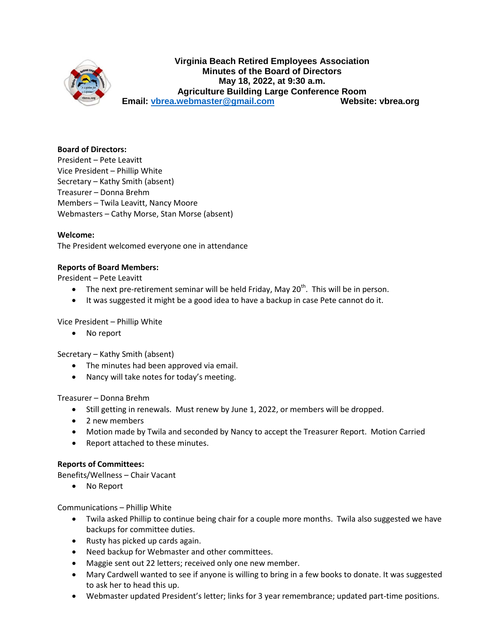

## **Virginia Beach Retired Employees Association Minutes of the Board of Directors May 18, 2022, at 9:30 a.m. Agriculture Building Large Conference Room Email: [vbrea.webmaster@gmail.com](mailto:vbrea.webmaster@gmail.com) Website: vbrea.org**

### **Board of Directors:**

President – Pete Leavitt Vice President – Phillip White Secretary – Kathy Smith (absent) Treasurer – Donna Brehm Members – Twila Leavitt, Nancy Moore Webmasters – Cathy Morse, Stan Morse (absent)

### **Welcome:**

The President welcomed everyone one in attendance

### **Reports of Board Members:**

President – Pete Leavitt

- The next pre-retirement seminar will be held Friday, May 20<sup>th</sup>. This will be in person.
- It was suggested it might be a good idea to have a backup in case Pete cannot do it.

Vice President – Phillip White

• No report

Secretary – Kathy Smith (absent)

- The minutes had been approved via email.
- Nancy will take notes for today's meeting.

### Treasurer – Donna Brehm

- Still getting in renewals. Must renew by June 1, 2022, or members will be dropped.
- 2 new members
- Motion made by Twila and seconded by Nancy to accept the Treasurer Report. Motion Carried
- Report attached to these minutes.

### **Reports of Committees:**

Benefits/Wellness – Chair Vacant

• No Report

### Communications – Phillip White

- Twila asked Phillip to continue being chair for a couple more months. Twila also suggested we have backups for committee duties.
- Rusty has picked up cards again.
- Need backup for Webmaster and other committees.
- Maggie sent out 22 letters; received only one new member.
- Mary Cardwell wanted to see if anyone is willing to bring in a few books to donate. It was suggested to ask her to head this up.
- Webmaster updated President's letter; links for 3 year remembrance; updated part-time positions.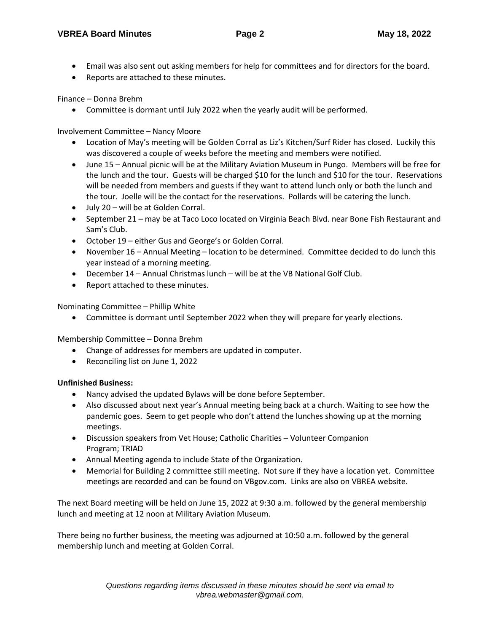- Email was also sent out asking members for help for committees and for directors for the board.
- Reports are attached to these minutes.

Finance – Donna Brehm

• Committee is dormant until July 2022 when the yearly audit will be performed.

Involvement Committee – Nancy Moore

- Location of May's meeting will be Golden Corral as Liz's Kitchen/Surf Rider has closed. Luckily this was discovered a couple of weeks before the meeting and members were notified.
- June 15 Annual picnic will be at the Military Aviation Museum in Pungo. Members will be free for the lunch and the tour. Guests will be charged \$10 for the lunch and \$10 for the tour. Reservations will be needed from members and guests if they want to attend lunch only or both the lunch and the tour. Joelle will be the contact for the reservations. Pollards will be catering the lunch.
- July 20 will be at Golden Corral.
- September 21 may be at Taco Loco located on Virginia Beach Blvd. near Bone Fish Restaurant and Sam's Club.
- October 19 either Gus and George's or Golden Corral.
- November 16 Annual Meeting location to be determined. Committee decided to do lunch this year instead of a morning meeting.
- December 14 Annual Christmas lunch will be at the VB National Golf Club.
- Report attached to these minutes.

Nominating Committee – Phillip White

• Committee is dormant until September 2022 when they will prepare for yearly elections.

Membership Committee – Donna Brehm

- Change of addresses for members are updated in computer.
- Reconciling list on June 1, 2022

## **Unfinished Business:**

- Nancy advised the updated Bylaws will be done before September.
- Also discussed about next year's Annual meeting being back at a church. Waiting to see how the pandemic goes. Seem to get people who don't attend the lunches showing up at the morning meetings.
- Discussion speakers from Vet House; Catholic Charities Volunteer Companion Program; TRIAD
- Annual Meeting agenda to include State of the Organization.
- Memorial for Building 2 committee still meeting. Not sure if they have a location yet. Committee meetings are recorded and can be found on VBgov.com. Links are also on VBREA website.

The next Board meeting will be held on June 15, 2022 at 9:30 a.m. followed by the general membership lunch and meeting at 12 noon at Military Aviation Museum.

There being no further business, the meeting was adjourned at 10:50 a.m. followed by the general membership lunch and meeting at Golden Corral.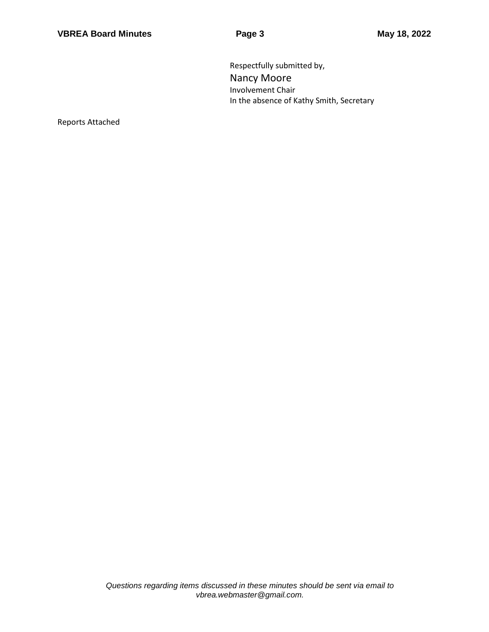Respectfully submitted by, Nancy Moore Involvement Chair In the absence of Kathy Smith, Secretary

Reports Attached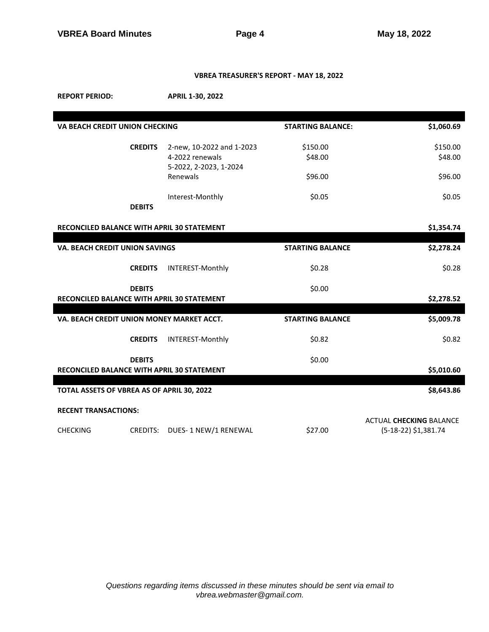## **VBREA TREASURER'S REPORT - MAY 18, 2022**

**REPORT PERIOD: APRIL 1-30, 2022**

| VA BEACH CREDIT UNION CHECKING                              |                                              | <b>STARTING BALANCE:</b> | \$1,060.69                                             |  |  |
|-------------------------------------------------------------|----------------------------------------------|--------------------------|--------------------------------------------------------|--|--|
| <b>CREDITS</b>                                              | 2-new, 10-2022 and 1-2023<br>4-2022 renewals | \$150.00<br>\$48.00      | \$150.00<br>\$48.00                                    |  |  |
|                                                             | 5-2022, 2-2023, 1-2024<br>Renewals           | \$96.00                  | \$96.00                                                |  |  |
| <b>DEBITS</b>                                               | Interest-Monthly                             | \$0.05                   | \$0.05                                                 |  |  |
|                                                             |                                              |                          |                                                        |  |  |
| RECONCILED BALANCE WITH APRIL 30 STATEMENT                  |                                              |                          | \$1,354.74                                             |  |  |
|                                                             |                                              |                          |                                                        |  |  |
| <b>VA. BEACH CREDIT UNION SAVINGS</b>                       |                                              | <b>STARTING BALANCE</b>  | \$2,278.24                                             |  |  |
| <b>CREDITS</b>                                              | INTEREST-Monthly                             | \$0.28                   | \$0.28                                                 |  |  |
| <b>DEBITS</b><br>RECONCILED BALANCE WITH APRIL 30 STATEMENT |                                              | \$0.00                   | \$2,278.52                                             |  |  |
|                                                             |                                              |                          |                                                        |  |  |
| VA. BEACH CREDIT UNION MONEY MARKET ACCT.                   |                                              | <b>STARTING BALANCE</b>  | \$5,009.78                                             |  |  |
| <b>CREDITS</b>                                              | INTEREST-Monthly                             | \$0.82                   | \$0.82                                                 |  |  |
| <b>DEBITS</b>                                               |                                              | \$0.00                   |                                                        |  |  |
| RECONCILED BALANCE WITH APRIL 30 STATEMENT                  |                                              |                          | \$5,010.60                                             |  |  |
| TOTAL ASSETS OF VBREA AS OF APRIL 30, 2022                  |                                              |                          | \$8,643.86                                             |  |  |
| <b>RECENT TRANSACTIONS:</b>                                 |                                              |                          |                                                        |  |  |
| <b>CHECKING</b><br>CREDITS:                                 | DUES-1 NEW/1 RENEWAL                         | \$27.00                  | <b>ACTUAL CHECKING BALANCE</b><br>(5-18-22) \$1,381.74 |  |  |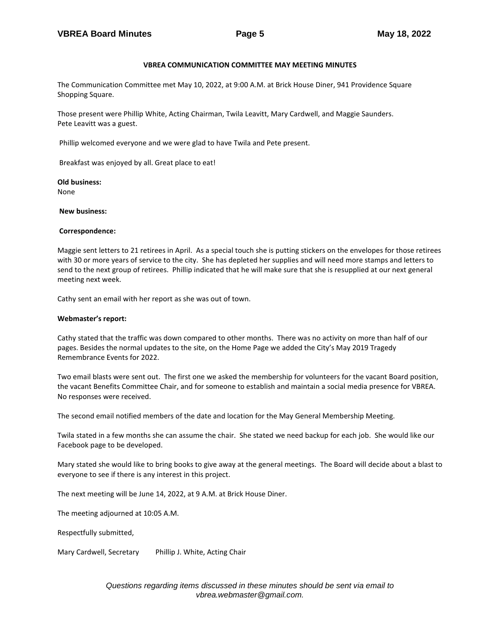### **VBREA COMMUNICATION COMMITTEE MAY MEETING MINUTES**

The Communication Committee met May 10, 2022, at 9:00 A.M. at Brick House Diner, 941 Providence Square Shopping Square.

Those present were Phillip White, Acting Chairman, Twila Leavitt, Mary Cardwell, and Maggie Saunders. Pete Leavitt was a guest.

Phillip welcomed everyone and we were glad to have Twila and Pete present.

Breakfast was enjoyed by all. Great place to eat!

**Old business:**

None

**New business:** 

### **Correspondence:**

Maggie sent letters to 21 retirees in April. As a special touch she is putting stickers on the envelopes for those retirees with 30 or more years of service to the city. She has depleted her supplies and will need more stamps and letters to send to the next group of retirees. Phillip indicated that he will make sure that she is resupplied at our next general meeting next week.

Cathy sent an email with her report as she was out of town.

### **Webmaster's report:**

Cathy stated that the traffic was down compared to other months. There was no activity on more than half of our pages. Besides the normal updates to the site, on the Home Page we added the City's May 2019 Tragedy Remembrance Events for 2022.

Two email blasts were sent out. The first one we asked the membership for volunteers for the vacant Board position, the vacant Benefits Committee Chair, and for someone to establish and maintain a social media presence for VBREA. No responses were received.

The second email notified members of the date and location for the May General Membership Meeting.

Twila stated in a few months she can assume the chair. She stated we need backup for each job. She would like our Facebook page to be developed.

Mary stated she would like to bring books to give away at the general meetings. The Board will decide about a blast to everyone to see if there is any interest in this project.

The next meeting will be June 14, 2022, at 9 A.M. at Brick House Diner.

The meeting adjourned at 10:05 A.M.

Respectfully submitted,

Mary Cardwell, Secretary Phillip J. White, Acting Chair

*Questions regarding items discussed in these minutes should be sent via email to vbrea.webmaster@gmail.com.*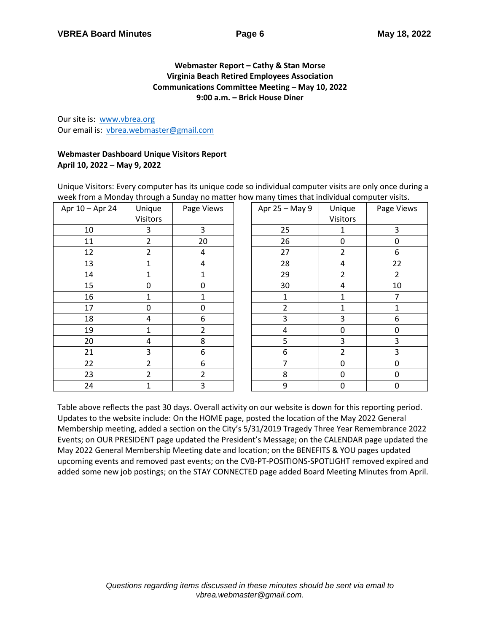## **Webmaster Report – Cathy & Stan Morse Virginia Beach Retired Employees Association Communications Committee Meeting – May 10, 2022 9:00 a.m. – Brick House Diner**

Our site is: [www.vbrea.org](http://www.vbrea.org/) Our email is: [vbrea.webmaster@gmail.com](mailto:vbrea.webmaster@gmail.com)

## **Webmaster Dashboard Unique Visitors Report April 10, 2022 – May 9, 2022**

Unique Visitors: Every computer has its unique code so individual computer visits are only once during a week from a Monday through a Sunday no matter how many times that individual computer visits.

| Apr 10 - Apr 24 | Unique<br>Visitors | Page Views     | Apr 25 - May 9 | Unique<br>Visitors | Page Views     |
|-----------------|--------------------|----------------|----------------|--------------------|----------------|
| 10              | 3                  | 3              | 25             | 1                  | 3              |
| 11              | $\overline{2}$     | 20             | 26             | 0                  | 0              |
| 12              | 2                  | 4              | 27             | 2                  | 6              |
| 13              |                    | 4              | 28             | 4                  | 22             |
| 14              | 1                  | 1              | 29             | $\overline{2}$     | $\overline{2}$ |
| 15              | $\mathbf{0}$       | 0              | 30             | 4                  | 10             |
| 16              |                    | $\mathbf{1}$   | 1              | 1                  | 7              |
| 17              | 0                  | 0              | $\overline{2}$ | 1                  | 1              |
| 18              | 4                  | 6              | 3              | 3                  | 6              |
| 19              |                    | $\overline{2}$ | 4              | 0                  | 0              |
| 20              | 4                  | 8              | 5              | 3                  | 3              |
| 21              | 3                  | 6              | 6              | $\overline{2}$     | 3              |
| 22              | $\overline{2}$     | 6              | 7              | 0                  | $\pmb{0}$      |
| 23              | $\overline{2}$     | $\overline{2}$ | 8              | 0                  | 0              |
| 24              | 1                  | 3              | 9              | 0                  | $\mathbf 0$    |

Table above reflects the past 30 days. Overall activity on our website is down for this reporting period. Updates to the website include: On the HOME page, posted the location of the May 2022 General Membership meeting, added a section on the City's 5/31/2019 Tragedy Three Year Remembrance 2022 Events; on OUR PRESIDENT page updated the President's Message; on the CALENDAR page updated the May 2022 General Membership Meeting date and location; on the BENEFITS & YOU pages updated upcoming events and removed past events; on the CVB-PT-POSITIONS-SPOTLIGHT removed expired and added some new job postings; on the STAY CONNECTED page added Board Meeting Minutes from April.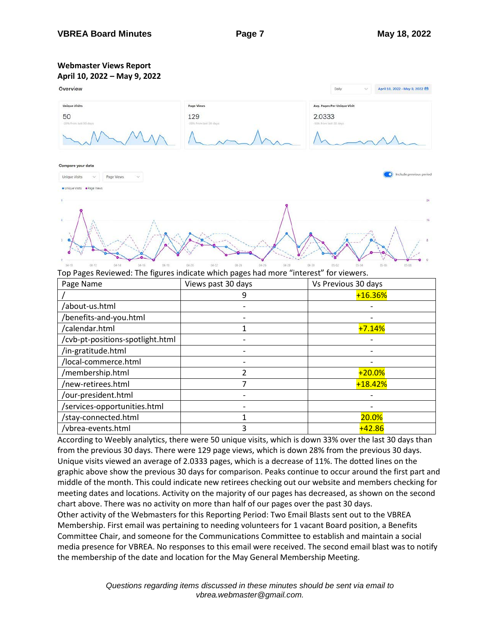# **Webmaster Views Report**



Top Pages Reviewed: The figures indicate which pages had more "interest" for viewers.

| Page Name                        | Views past 30 days | Vs Previous 30 days |
|----------------------------------|--------------------|---------------------|
|                                  |                    | $+16.36%$           |
| /about-us.html                   |                    |                     |
| /benefits-and-you.html           |                    |                     |
| /calendar.html                   |                    | $+7.14%$            |
| /cvb-pt-positions-spotlight.html |                    |                     |
| /in-gratitude.html               |                    |                     |
| /local-commerce.html             |                    |                     |
| /membership.html                 |                    | $+20.0%$            |
| /new-retirees.html               |                    | $+18.42%$           |
| /our-president.html              |                    |                     |
| /services-opportunities.html     |                    |                     |
| /stay-connected.html             |                    | <b>20.0%</b>        |
| /vbrea-events.html               | ੨                  | $+42.86$            |

According to Weebly analytics, there were 50 unique visits, which is down 33% over the last 30 days than from the previous 30 days. There were 129 page views, which is down 28% from the previous 30 days. Unique visits viewed an average of 2.0333 pages, which is a decrease of 11%. The dotted lines on the graphic above show the previous 30 days for comparison. Peaks continue to occur around the first part and middle of the month. This could indicate new retirees checking out our website and members checking for meeting dates and locations. Activity on the majority of our pages has decreased, as shown on the second chart above. There was no activity on more than half of our pages over the past 30 days.

Other activity of the Webmasters for this Reporting Period: Two Email Blasts sent out to the VBREA Membership. First email was pertaining to needing volunteers for 1 vacant Board position, a Benefits Committee Chair, and someone for the Communications Committee to establish and maintain a social media presence for VBREA. No responses to this email were received. The second email blast was to notify the membership of the date and location for the May General Membership Meeting.

> *Questions regarding items discussed in these minutes should be sent via email to vbrea.webmaster@gmail.com.*